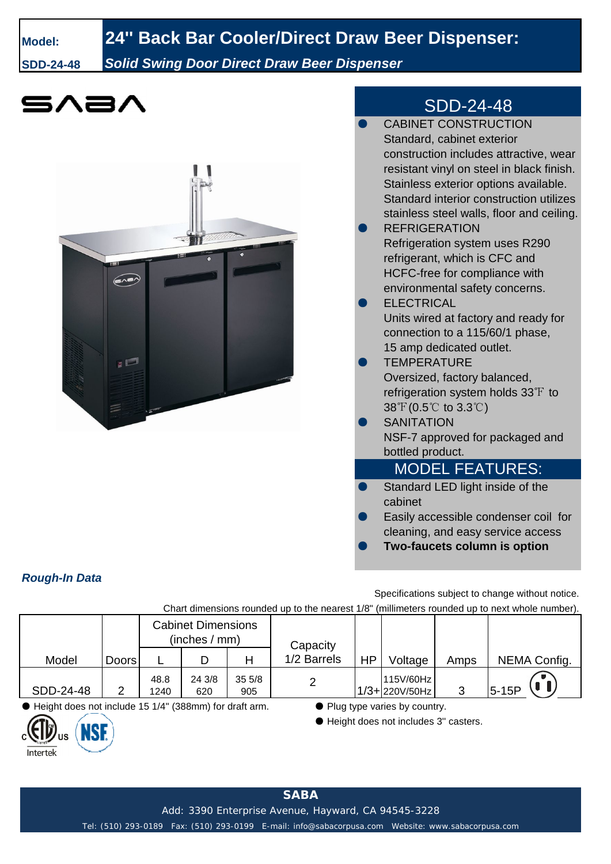## **Model: 24'' Back Bar Cooler/Direct Draw Beer Dispenser:**

**SDD-24-48** *Solid Swing Door Direct Draw Beer Dispenser*



## MODEL FEATURES:

- Standard LED light inside of the cabinet
- Easily accessible condenser coil for cleaning, and easy service access
- **Two-faucets column is option**

*Rough-In Data*

Specifications subject to change without notice.

Chart dimensions rounded up to the nearest 1/8" (millimeters rounded up to next whole number).

|                                                                                            |              | <b>Cabinet Dimensions</b><br>(inches / mm) |               |              | Capacity    |           |                                |      |              |
|--------------------------------------------------------------------------------------------|--------------|--------------------------------------------|---------------|--------------|-------------|-----------|--------------------------------|------|--------------|
| Model                                                                                      | <b>Doors</b> |                                            |               | Н            | 1/2 Barrels | <b>HP</b> | Voltage                        | Amps | NEMA Config. |
| SDD-24-48                                                                                  |              | 48.8<br>1240                               | 24 3/8<br>620 | 355/8<br>905 |             |           | 115V/60Hz<br>$1/3 + 220V/50Hz$ | っ    | $5-15P$      |
| $\bigoplus$ illabeled alone was boalized and $\bigoplus$ ALAR (000 seems) from death and a |              |                                            |               |              |             |           |                                |      |              |

 $\frac{1}{2}$  ight does not include 15 1/4" (388mm) for draft arm.  $\bullet$  Plug type varies by country.

**NSF** 

US

Intertek

● Height does not includes 3" casters.

Add: 3390 Enterprise Avenue, Hayward, CA 94545-3228

Tel: (510) 293-0189 Fax: (510) 293-0199 E-mail: info@sabacorpusa.com Website: www.sabacorpusa.com